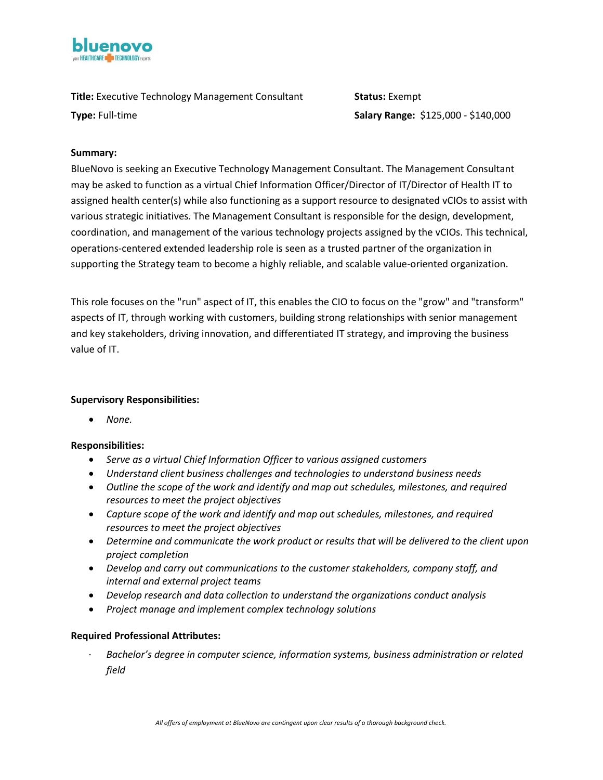

**Title:** Executive Technology Management Consultant **Status:** Exempt

**Type:** Full-time **Salary Range:** \$125,000 - \$140,000

## **Summary:**

BlueNovo is seeking an Executive Technology Management Consultant. The Management Consultant may be asked to function as a virtual Chief Information Officer/Director of IT/Director of Health IT to assigned health center(s) while also functioning as a support resource to designated vCIOs to assist with various strategic initiatives. The Management Consultant is responsible for the design, development, coordination, and management of the various technology projects assigned by the vCIOs. This technical, operations-centered extended leadership role is seen as a trusted partner of the organization in supporting the Strategy team to become a highly reliable, and scalable value-oriented organization.

This role focuses on the "run" aspect of IT, this enables the CIO to focus on the "grow" and "transform" aspects of IT, through working with customers, building strong relationships with senior management and key stakeholders, driving innovation, and differentiated IT strategy, and improving the business value of IT.

# **Supervisory Responsibilities:**

• *None.* 

# **Responsibilities:**

- *Serve as a virtual Chief Information Officer to various assigned customers*
- *Understand client business challenges and technologies to understand business needs*
- *Outline the scope of the work and identify and map out schedules, milestones, and required resources to meet the project objectives*
- *Capture scope of the work and identify and map out schedules, milestones, and required resources to meet the project objectives*
- *Determine and communicate the work product or results that will be delivered to the client upon project completion*
- *Develop and carry out communications to the customer stakeholders, company staff, and internal and external project teams*
- *Develop research and data collection to understand the organizations conduct analysis*
- *Project manage and implement complex technology solutions*

### **Required Professional Attributes:**

· *Bachelor's degree in computer science, information systems, business administration or related field*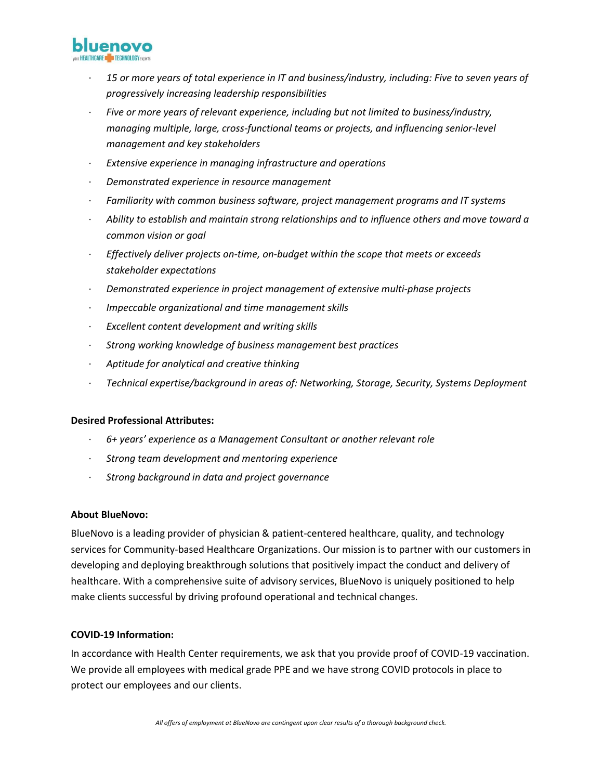

- · *15 or more years of total experience in IT and business/industry, including: Five to seven years of progressively increasing leadership responsibilities*
- · *Five or more years of relevant experience, including but not limited to business/industry, managing multiple, large, cross-functional teams or projects, and influencing senior-level management and key stakeholders*
- · *Extensive experience in managing infrastructure and operations*
- · *Demonstrated experience in resource management*
- · *Familiarity with common business software, project management programs and IT systems*
- · *Ability to establish and maintain strong relationships and to influence others and move toward a common vision or goal*
- · *Effectively deliver projects on-time, on-budget within the scope that meets or exceeds stakeholder expectations*
- · *Demonstrated experience in project management of extensive multi-phase projects*
- · *Impeccable organizational and time management skills*
- · *Excellent content development and writing skills*
- · *Strong working knowledge of business management best practices*
- · *Aptitude for analytical and creative thinking*
- · *Technical expertise/background in areas of: Networking, Storage, Security, Systems Deployment*

### **Desired Professional Attributes:**

- · *6+ years' experience as a Management Consultant or another relevant role*
- · *Strong team development and mentoring experience*
- · *Strong background in data and project governance*

### **About BlueNovo:**

BlueNovo is a leading provider of physician & patient-centered healthcare, quality, and technology services for Community-based Healthcare Organizations. Our mission is to partner with our customers in developing and deploying breakthrough solutions that positively impact the conduct and delivery of healthcare. With a comprehensive suite of advisory services, BlueNovo is uniquely positioned to help make clients successful by driving profound operational and technical changes.

### **COVID-19 Information:**

In accordance with Health Center requirements, we ask that you provide proof of COVID-19 vaccination. We provide all employees with medical grade PPE and we have strong COVID protocols in place to protect our employees and our clients.